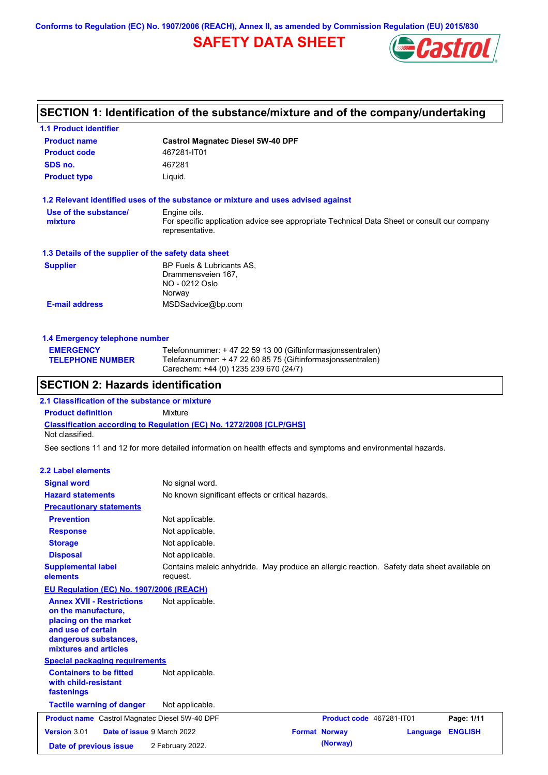**Conforms to Regulation (EC) No. 1907/2006 (REACH), Annex II, as amended by Commission Regulation (EU) 2015/830**

# **SAFETY DATA SHEET**



# **SECTION 1: Identification of the substance/mixture and of the company/undertaking**

| <b>1.1 Product identifier</b>                                                                                                                            |                                                                                                                                |  |  |
|----------------------------------------------------------------------------------------------------------------------------------------------------------|--------------------------------------------------------------------------------------------------------------------------------|--|--|
| <b>Product name</b>                                                                                                                                      | <b>Castrol Magnatec Diesel 5W-40 DPF</b>                                                                                       |  |  |
| <b>Product code</b>                                                                                                                                      | 467281-IT01                                                                                                                    |  |  |
| SDS no.                                                                                                                                                  | 467281                                                                                                                         |  |  |
| <b>Product type</b>                                                                                                                                      | Liquid.                                                                                                                        |  |  |
|                                                                                                                                                          | 1.2 Relevant identified uses of the substance or mixture and uses advised against                                              |  |  |
| Use of the substance/<br>mixture                                                                                                                         | Engine oils.<br>For specific application advice see appropriate Technical Data Sheet or consult our company<br>representative. |  |  |
| 1.3 Details of the supplier of the safety data sheet                                                                                                     |                                                                                                                                |  |  |
| <b>Supplier</b>                                                                                                                                          | BP Fuels & Lubricants AS,<br>Drammensveien 167,<br>NO - 0212 Oslo<br>Norway                                                    |  |  |
| <b>E-mail address</b>                                                                                                                                    | MSDSadvice@bp.com                                                                                                              |  |  |
| 1.4 Emergency telephone number                                                                                                                           |                                                                                                                                |  |  |
| <b>EMERGENCY</b>                                                                                                                                         | Telefonnummer: + 47 22 59 13 00 (Giftinformasjonssentralen)                                                                    |  |  |
| <b>TELEPHONE NUMBER</b>                                                                                                                                  | Telefaxnummer: +47 22 60 85 75 (Giftinformasjonssentralen)<br>Carechem: +44 (0) 1235 239 670 (24/7)                            |  |  |
| <b>SECTION 2: Hazards identification</b>                                                                                                                 |                                                                                                                                |  |  |
| 2.1 Classification of the substance or mixture                                                                                                           |                                                                                                                                |  |  |
| <b>Product definition</b>                                                                                                                                | Mixture                                                                                                                        |  |  |
| Not classified.                                                                                                                                          | Classification according to Regulation (EC) No. 1272/2008 [CLP/GHS]                                                            |  |  |
|                                                                                                                                                          | See sections 11 and 12 for more detailed information on health effects and symptoms and environmental hazards.                 |  |  |
| <b>2.2 Label elements</b>                                                                                                                                |                                                                                                                                |  |  |
| <b>Signal word</b>                                                                                                                                       | No signal word.                                                                                                                |  |  |
| <b>Hazard statements</b>                                                                                                                                 | No known significant effects or critical hazards.                                                                              |  |  |
| <b>Precautionary statements</b>                                                                                                                          |                                                                                                                                |  |  |
| <b>Prevention</b>                                                                                                                                        | Not applicable.                                                                                                                |  |  |
| <b>Response</b>                                                                                                                                          | Not applicable.                                                                                                                |  |  |
| <b>Storage</b>                                                                                                                                           | Not applicable.                                                                                                                |  |  |
| <b>Disposal</b>                                                                                                                                          | Not applicable.                                                                                                                |  |  |
| <b>Supplemental label</b><br>elements                                                                                                                    | Contains maleic anhydride. May produce an allergic reaction. Safety data sheet available on<br>request.                        |  |  |
| EU Regulation (EC) No. 1907/2006 (REACH)                                                                                                                 |                                                                                                                                |  |  |
| <b>Annex XVII - Restrictions</b><br>on the manufacture,<br>placing on the market<br>and use of certain<br>dangerous substances,<br>mixtures and articles | Not applicable.                                                                                                                |  |  |
| <b>Special packaging requirements</b>                                                                                                                    |                                                                                                                                |  |  |
| <b>Containers to be fitted</b><br>with child-resistant<br>fastenings                                                                                     | Not applicable.                                                                                                                |  |  |
|                                                                                                                                                          |                                                                                                                                |  |  |

|                        | <b>Product name</b> Castrol Magnatec Diesel 5W-40 DPF | <b>Product code</b> 467281-IT01 |                  | Page: 1/11 |
|------------------------|-------------------------------------------------------|---------------------------------|------------------|------------|
| <b>Version 3.01</b>    | <b>Date of issue 9 March 2022</b>                     | <b>Format Norway</b>            | Language ENGLISH |            |
| Date of previous issue | 2 February 2022.                                      | (Norway)                        |                  |            |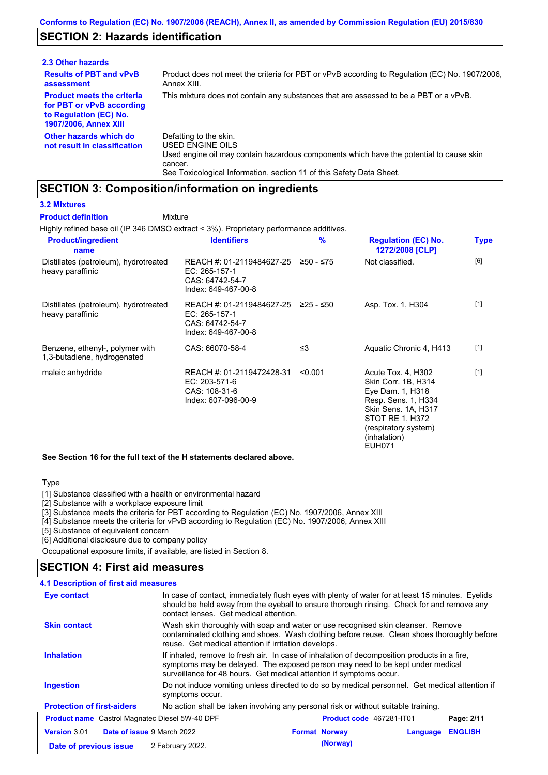## **SECTION 2: Hazards identification**

| 2.3 Other hazards                                                                                                        |                                                                                                                                                                                                                          |
|--------------------------------------------------------------------------------------------------------------------------|--------------------------------------------------------------------------------------------------------------------------------------------------------------------------------------------------------------------------|
| <b>Results of PBT and vPvB</b><br>assessment                                                                             | Product does not meet the criteria for PBT or vPvB according to Regulation (EC) No. 1907/2006,<br>Annex XIII.                                                                                                            |
| <b>Product meets the criteria</b><br>for PBT or vPvB according<br>to Regulation (EC) No.<br><b>1907/2006, Annex XIII</b> | This mixture does not contain any substances that are assessed to be a PBT or a vPvB.                                                                                                                                    |
| Other hazards which do<br>not result in classification                                                                   | Defatting to the skin.<br>USED ENGINE OILS<br>Used engine oil may contain hazardous components which have the potential to cause skin<br>cancer.<br>See Toxicological Information, section 11 of this Safety Data Sheet. |

### **SECTION 3: Composition/information on ingredients**

Mixture

### **3.2 Mixtures**

**Product definition**

Highly refined base oil (IP 346 DMSO extract < 3%). Proprietary performance additives.

| <b>Product/ingredient</b><br>name                              | <b>Identifiers</b>                                                                   | $\frac{9}{6}$ | <b>Regulation (EC) No.</b><br>1272/2008 [CLP]                                                                                                                          | Type  |
|----------------------------------------------------------------|--------------------------------------------------------------------------------------|---------------|------------------------------------------------------------------------------------------------------------------------------------------------------------------------|-------|
| Distillates (petroleum), hydrotreated<br>heavy paraffinic      | REACH #: 01-2119484627-25<br>EC: 265-157-1<br>CAS: 64742-54-7<br>Index: 649-467-00-8 | ≥50 - ≤75     | Not classified.                                                                                                                                                        | [6]   |
| Distillates (petroleum), hydrotreated<br>heavy paraffinic      | REACH #: 01-2119484627-25<br>EC: 265-157-1<br>CAS: 64742-54-7<br>Index: 649-467-00-8 | ≥25 - ≤50     | Asp. Tox. 1, H304                                                                                                                                                      | $[1]$ |
| Benzene, ethenyl-, polymer with<br>1,3-butadiene, hydrogenated | CAS: 66070-58-4                                                                      | ≤3            | Aquatic Chronic 4, H413                                                                                                                                                | $[1]$ |
| maleic anhydride                                               | REACH #: 01-2119472428-31<br>EC: 203-571-6<br>CAS: 108-31-6<br>Index: 607-096-00-9   | < 0.001       | Acute Tox. 4, H302<br>Skin Corr. 1B, H314<br>Eye Dam. 1, H318<br>Resp. Sens. 1, H334<br>Skin Sens. 1A, H317<br>STOT RE 1, H372<br>(respiratory system)<br>(inhalation) | $[1]$ |

EUH071

**See Section 16 for the full text of the H statements declared above.**

#### **Type**

[1] Substance classified with a health or environmental hazard

[2] Substance with a workplace exposure limit

[3] Substance meets the criteria for PBT according to Regulation (EC) No. 1907/2006, Annex XIII

- [4] Substance meets the criteria for vPvB according to Regulation (EC) No. 1907/2006, Annex XIII
- [5] Substance of equivalent concern
- [6] Additional disclosure due to company policy

Occupational exposure limits, if available, are listed in Section 8.

### **SECTION 4: First aid measures**

| 4.1 Description of first aid measures                                                                                                                                                                                                                  |                                                                                                                                                                                                                                                     |                                                                                    |          |                |
|--------------------------------------------------------------------------------------------------------------------------------------------------------------------------------------------------------------------------------------------------------|-----------------------------------------------------------------------------------------------------------------------------------------------------------------------------------------------------------------------------------------------------|------------------------------------------------------------------------------------|----------|----------------|
| In case of contact, immediately flush eyes with plenty of water for at least 15 minutes. Eyelids<br>Eye contact<br>should be held away from the eyeball to ensure thorough rinsing. Check for and remove any<br>contact lenses. Get medical attention. |                                                                                                                                                                                                                                                     |                                                                                    |          |                |
| <b>Skin contact</b>                                                                                                                                                                                                                                    | Wash skin thoroughly with soap and water or use recognised skin cleanser. Remove<br>contaminated clothing and shoes. Wash clothing before reuse. Clean shoes thoroughly before<br>reuse. Get medical attention if irritation develops.              |                                                                                    |          |                |
| <b>Inhalation</b>                                                                                                                                                                                                                                      | If inhaled, remove to fresh air. In case of inhalation of decomposition products in a fire,<br>symptoms may be delayed. The exposed person may need to be kept under medical<br>surveillance for 48 hours. Get medical attention if symptoms occur. |                                                                                    |          |                |
| <b>Ingestion</b>                                                                                                                                                                                                                                       | Do not induce vomiting unless directed to do so by medical personnel. Get medical attention if<br>symptoms occur.                                                                                                                                   |                                                                                    |          |                |
| <b>Protection of first-aiders</b>                                                                                                                                                                                                                      |                                                                                                                                                                                                                                                     | No action shall be taken involving any personal risk or without suitable training. |          |                |
| <b>Product name</b> Castrol Magnatec Diesel 5W-40 DPF                                                                                                                                                                                                  |                                                                                                                                                                                                                                                     | <b>Product code</b> 467281-IT01                                                    |          | Page: 2/11     |
| <b>Version 3.01</b>                                                                                                                                                                                                                                    | <b>Date of issue 9 March 2022</b>                                                                                                                                                                                                                   | <b>Format Norway</b>                                                               | Language | <b>ENGLISH</b> |
| Date of previous issue                                                                                                                                                                                                                                 | 2 February 2022.                                                                                                                                                                                                                                    | (Norway)                                                                           |          |                |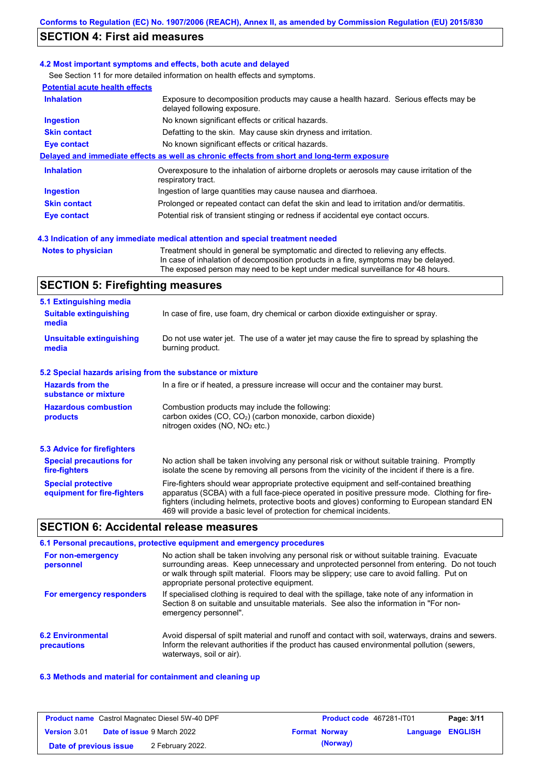## **SECTION 4: First aid measures**

#### **4.2 Most important symptoms and effects, both acute and delayed**

See Section 11 for more detailed information on health effects and symptoms. **Potential acute health effects**

| POIGHING ACUIG HEART GHECTS |                                                                                                                     |
|-----------------------------|---------------------------------------------------------------------------------------------------------------------|
| <b>Inhalation</b>           | Exposure to decomposition products may cause a health hazard. Serious effects may be<br>delayed following exposure. |
| <b>Ingestion</b>            | No known significant effects or critical hazards.                                                                   |
| <b>Skin contact</b>         | Defatting to the skin. May cause skin dryness and irritation.                                                       |
| <b>Eye contact</b>          | No known significant effects or critical hazards.                                                                   |
|                             | Delayed and immediate effects as well as chronic effects from short and long-term exposure                          |
| <b>Inhalation</b>           | Overexposure to the inhalation of airborne droplets or aerosols may cause irritation of the<br>respiratory tract.   |
| <b>Ingestion</b>            | Ingestion of large quantities may cause nausea and diarrhoea.                                                       |
| <b>Skin contact</b>         | Prolonged or repeated contact can defat the skin and lead to irritation and/or dermatitis.                          |
| Eye contact                 | Potential risk of transient stinging or redness if accidental eye contact occurs.                                   |
|                             |                                                                                                                     |

### **4.3 Indication of any immediate medical attention and special treatment needed**

**Notes to physician** Treatment should in general be symptomatic and directed to relieving any effects. In case of inhalation of decomposition products in a fire, symptoms may be delayed. The exposed person may need to be kept under medical surveillance for 48 hours.

## **SECTION 5: Firefighting measures**

| 5.1 Extinguishing media                                                                                                                                                                                |                                                                                                                                                                                                                                                                                                                                                                   |
|--------------------------------------------------------------------------------------------------------------------------------------------------------------------------------------------------------|-------------------------------------------------------------------------------------------------------------------------------------------------------------------------------------------------------------------------------------------------------------------------------------------------------------------------------------------------------------------|
| <b>Suitable extinguishing</b><br>media                                                                                                                                                                 | In case of fire, use foam, dry chemical or carbon dioxide extinguisher or spray.                                                                                                                                                                                                                                                                                  |
| <b>Unsuitable extinguishing</b><br>media                                                                                                                                                               | Do not use water jet. The use of a water jet may cause the fire to spread by splashing the<br>burning product.                                                                                                                                                                                                                                                    |
| 5.2 Special hazards arising from the substance or mixture                                                                                                                                              |                                                                                                                                                                                                                                                                                                                                                                   |
| <b>Hazards from the</b><br>substance or mixture                                                                                                                                                        | In a fire or if heated, a pressure increase will occur and the container may burst.                                                                                                                                                                                                                                                                               |
| Combustion products may include the following:<br><b>Hazardous combustion</b><br>carbon oxides $(CO, CO2)$ (carbon monoxide, carbon dioxide)<br>products<br>nitrogen oxides (NO, NO <sub>2</sub> etc.) |                                                                                                                                                                                                                                                                                                                                                                   |
| 5.3 Advice for firefighters                                                                                                                                                                            |                                                                                                                                                                                                                                                                                                                                                                   |
| <b>Special precautions for</b><br>fire-fighters                                                                                                                                                        | No action shall be taken involving any personal risk or without suitable training. Promptly<br>isolate the scene by removing all persons from the vicinity of the incident if there is a fire.                                                                                                                                                                    |
| <b>Special protective</b><br>equipment for fire-fighters                                                                                                                                               | Fire-fighters should wear appropriate protective equipment and self-contained breathing<br>apparatus (SCBA) with a full face-piece operated in positive pressure mode. Clothing for fire-<br>fighters (including helmets, protective boots and gloves) conforming to European standard EN<br>469 will provide a basic level of protection for chemical incidents. |

### **SECTION 6: Accidental release measures**

|                                         | 6.1 Personal precautions, protective equipment and emergency procedures                                                                                                                                                                                                                                                             |
|-----------------------------------------|-------------------------------------------------------------------------------------------------------------------------------------------------------------------------------------------------------------------------------------------------------------------------------------------------------------------------------------|
| For non-emergency<br>personnel          | No action shall be taken involving any personal risk or without suitable training. Evacuate<br>surrounding areas. Keep unnecessary and unprotected personnel from entering. Do not touch<br>or walk through spilt material. Floors may be slippery; use care to avoid falling. Put on<br>appropriate personal protective equipment. |
| For emergency responders                | If specialised clothing is required to deal with the spillage, take note of any information in<br>Section 8 on suitable and unsuitable materials. See also the information in "For non-<br>emergency personnel".                                                                                                                    |
| <b>6.2 Environmental</b><br>precautions | Avoid dispersal of spilt material and runoff and contact with soil, waterways, drains and sewers.<br>Inform the relevant authorities if the product has caused environmental pollution (sewers,<br>waterways, soil or air).                                                                                                         |

### **6.3 Methods and material for containment and cleaning up**

| <b>Product name</b> Castrol Magnatec Diesel 5W-40 DPF |  | <b>Product code</b> 467281-IT01   |  | Page: 3/11           |                         |  |
|-------------------------------------------------------|--|-----------------------------------|--|----------------------|-------------------------|--|
| <b>Version 3.01</b>                                   |  | <b>Date of issue 9 March 2022</b> |  | <b>Format Norway</b> | <b>Language ENGLISH</b> |  |
| Date of previous issue                                |  | 2 February 2022.                  |  | (Norway)             |                         |  |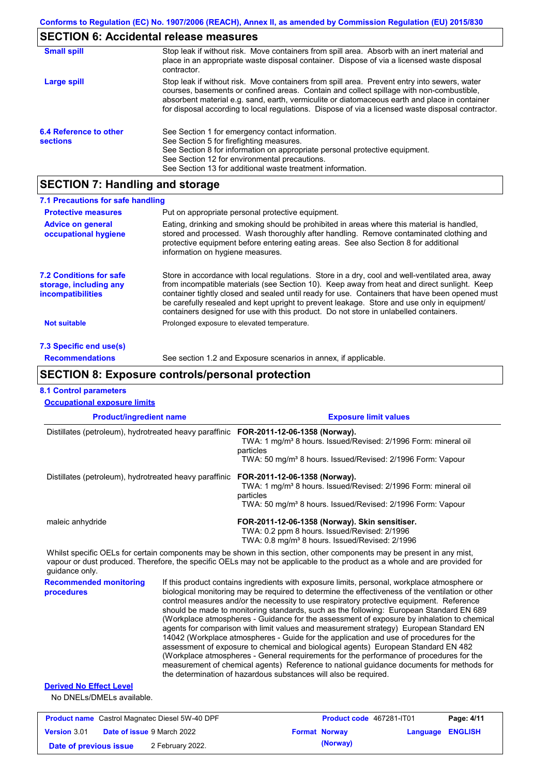# **SECTION 6: Accidental release measures**

| <b>Small spill</b>                        | Stop leak if without risk. Move containers from spill area. Absorb with an inert material and<br>place in an appropriate waste disposal container. Dispose of via a licensed waste disposal<br>contractor.                                                                                                                                                                                     |  |  |  |
|-------------------------------------------|------------------------------------------------------------------------------------------------------------------------------------------------------------------------------------------------------------------------------------------------------------------------------------------------------------------------------------------------------------------------------------------------|--|--|--|
| Large spill                               | Stop leak if without risk. Move containers from spill area. Prevent entry into sewers, water<br>courses, basements or confined areas. Contain and collect spillage with non-combustible,<br>absorbent material e.g. sand, earth, vermiculite or diatomaceous earth and place in container<br>for disposal according to local regulations. Dispose of via a licensed waste disposal contractor. |  |  |  |
| 6.4 Reference to other<br><b>sections</b> | See Section 1 for emergency contact information.<br>See Section 5 for firefighting measures.<br>See Section 8 for information on appropriate personal protective equipment.<br>See Section 12 for environmental precautions.<br>See Section 13 for additional waste treatment information.                                                                                                     |  |  |  |

# **SECTION 7: Handling and storage**

| 7.1 Precautions for safe handling                                                    |                                                                                                                                                                                                                                                                                                                                                                                                                                                                                          |  |  |  |
|--------------------------------------------------------------------------------------|------------------------------------------------------------------------------------------------------------------------------------------------------------------------------------------------------------------------------------------------------------------------------------------------------------------------------------------------------------------------------------------------------------------------------------------------------------------------------------------|--|--|--|
| <b>Protective measures</b>                                                           | Put on appropriate personal protective equipment.                                                                                                                                                                                                                                                                                                                                                                                                                                        |  |  |  |
| <b>Advice on general</b><br>occupational hygiene                                     | Eating, drinking and smoking should be prohibited in areas where this material is handled,<br>stored and processed. Wash thoroughly after handling. Remove contaminated clothing and<br>protective equipment before entering eating areas. See also Section 8 for additional<br>information on hygiene measures.                                                                                                                                                                         |  |  |  |
| <b>7.2 Conditions for safe</b><br>storage, including any<br><i>incompatibilities</i> | Store in accordance with local requlations. Store in a dry, cool and well-ventilated area, away<br>from incompatible materials (see Section 10). Keep away from heat and direct sunlight. Keep<br>container tightly closed and sealed until ready for use. Containers that have been opened must<br>be carefully resealed and kept upright to prevent leakage. Store and use only in equipment/<br>containers designed for use with this product. Do not store in unlabelled containers. |  |  |  |
| Not suitable                                                                         | Prolonged exposure to elevated temperature.                                                                                                                                                                                                                                                                                                                                                                                                                                              |  |  |  |
| 7.3 Specific end use(s)                                                              |                                                                                                                                                                                                                                                                                                                                                                                                                                                                                          |  |  |  |
| <b>Recommendations</b>                                                               | See section 1.2 and Exposure scenarios in annex, if applicable.                                                                                                                                                                                                                                                                                                                                                                                                                          |  |  |  |

## **SECTION 8: Exposure controls/personal protection**

### **8.1 Control parameters**

| <b>Occupational exposure limits</b>                         |  |                                                                                                                                                                                                                                                                                                                                                                                                                                                                                                                                                                                                                                                                                                                                                                                                                                                                                                                                                                                                                            |  |  |
|-------------------------------------------------------------|--|----------------------------------------------------------------------------------------------------------------------------------------------------------------------------------------------------------------------------------------------------------------------------------------------------------------------------------------------------------------------------------------------------------------------------------------------------------------------------------------------------------------------------------------------------------------------------------------------------------------------------------------------------------------------------------------------------------------------------------------------------------------------------------------------------------------------------------------------------------------------------------------------------------------------------------------------------------------------------------------------------------------------------|--|--|
| <b>Product/ingredient name</b>                              |  | <b>Exposure limit values</b>                                                                                                                                                                                                                                                                                                                                                                                                                                                                                                                                                                                                                                                                                                                                                                                                                                                                                                                                                                                               |  |  |
| Distillates (petroleum), hydrotreated heavy paraffinic      |  | FOR-2011-12-06-1358 (Norway).<br>TWA: 1 mg/m <sup>3</sup> 8 hours. Issued/Revised: 2/1996 Form: mineral oil<br>particles<br>TWA: 50 mg/m <sup>3</sup> 8 hours. Issued/Revised: 2/1996 Form: Vapour                                                                                                                                                                                                                                                                                                                                                                                                                                                                                                                                                                                                                                                                                                                                                                                                                         |  |  |
| Distillates (petroleum), hydrotreated heavy paraffinic      |  | FOR-2011-12-06-1358 (Norway).<br>TWA: 1 mg/m <sup>3</sup> 8 hours. Issued/Revised: 2/1996 Form: mineral oil<br>particles<br>TWA: 50 mg/m <sup>3</sup> 8 hours. Issued/Revised: 2/1996 Form: Vapour                                                                                                                                                                                                                                                                                                                                                                                                                                                                                                                                                                                                                                                                                                                                                                                                                         |  |  |
| maleic anhydride                                            |  | FOR-2011-12-06-1358 (Norway). Skin sensitiser.<br>TWA: 0.2 ppm 8 hours. Issued/Revised: 2/1996<br>TWA: 0.8 mg/m <sup>3</sup> 8 hours. Issued/Revised: 2/1996                                                                                                                                                                                                                                                                                                                                                                                                                                                                                                                                                                                                                                                                                                                                                                                                                                                               |  |  |
| quidance only.                                              |  | Whilst specific OELs for certain components may be shown in this section, other components may be present in any mist,<br>vapour or dust produced. Therefore, the specific OELs may not be applicable to the product as a whole and are provided for                                                                                                                                                                                                                                                                                                                                                                                                                                                                                                                                                                                                                                                                                                                                                                       |  |  |
| <b>Recommended monitoring</b><br>procedures                 |  | If this product contains ingredients with exposure limits, personal, workplace atmosphere or<br>biological monitoring may be reguired to determine the effectiveness of the ventilation or other<br>control measures and/or the necessity to use respiratory protective equipment. Reference<br>should be made to monitoring standards, such as the following: European Standard EN 689<br>(Workplace atmospheres - Guidance for the assessment of exposure by inhalation to chemical<br>agents for comparison with limit values and measurement strategy) European Standard EN<br>14042 (Workplace atmospheres - Guide for the application and use of procedures for the<br>assessment of exposure to chemical and biological agents) European Standard EN 482<br>(Workplace atmospheres - General requirements for the performance of procedures for the<br>measurement of chemical agents) Reference to national guidance documents for methods for<br>the determination of hazardous substances will also be required. |  |  |
| <b>Derived No Effect Level</b><br>No DNELs/DMELs available. |  |                                                                                                                                                                                                                                                                                                                                                                                                                                                                                                                                                                                                                                                                                                                                                                                                                                                                                                                                                                                                                            |  |  |

|                        | <b>Product name</b> Castrol Magnatec Diesel 5W-40 DPF | <b>Product code</b> 467281-IT01 |                         | Page: 4/11 |
|------------------------|-------------------------------------------------------|---------------------------------|-------------------------|------------|
| <b>Version 3.01</b>    | <b>Date of issue 9 March 2022</b>                     | <b>Format Norway</b>            | <b>Language ENGLISH</b> |            |
| Date of previous issue | 2 February 2022.                                      | (Norway)                        |                         |            |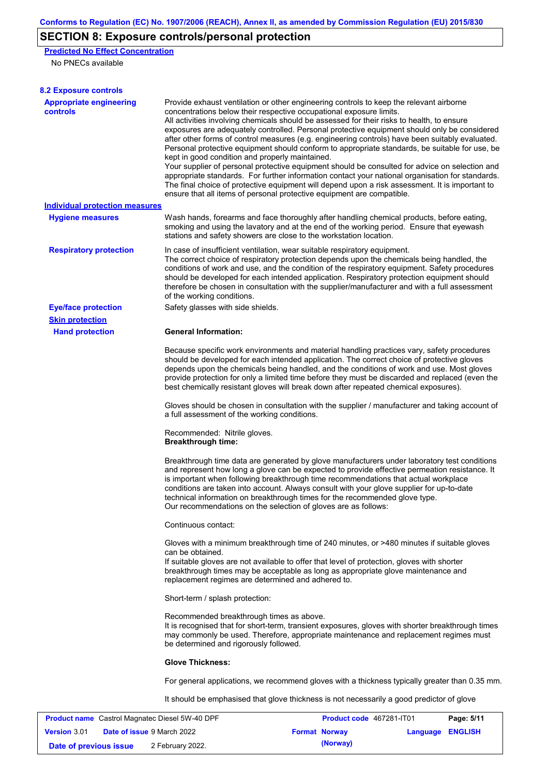# **SECTION 8: Exposure controls/personal protection**

**Predicted No Effect Concentration** No PNECs available

| <b>8.2 Exposure controls</b>                          |                                                                                                                                                                                                                                                                                                                                                                                                                                                                                                                                                                                                                                                                                                                                                                                                                                                                                                                                                                                                         |                          |                  |            |  |
|-------------------------------------------------------|---------------------------------------------------------------------------------------------------------------------------------------------------------------------------------------------------------------------------------------------------------------------------------------------------------------------------------------------------------------------------------------------------------------------------------------------------------------------------------------------------------------------------------------------------------------------------------------------------------------------------------------------------------------------------------------------------------------------------------------------------------------------------------------------------------------------------------------------------------------------------------------------------------------------------------------------------------------------------------------------------------|--------------------------|------------------|------------|--|
| <b>Appropriate engineering</b><br><b>controls</b>     | Provide exhaust ventilation or other engineering controls to keep the relevant airborne<br>concentrations below their respective occupational exposure limits.<br>All activities involving chemicals should be assessed for their risks to health, to ensure<br>exposures are adequately controlled. Personal protective equipment should only be considered<br>after other forms of control measures (e.g. engineering controls) have been suitably evaluated.<br>Personal protective equipment should conform to appropriate standards, be suitable for use, be<br>kept in good condition and properly maintained.<br>Your supplier of personal protective equipment should be consulted for advice on selection and<br>appropriate standards. For further information contact your national organisation for standards.<br>The final choice of protective equipment will depend upon a risk assessment. It is important to<br>ensure that all items of personal protective equipment are compatible. |                          |                  |            |  |
| <b>Individual protection measures</b>                 |                                                                                                                                                                                                                                                                                                                                                                                                                                                                                                                                                                                                                                                                                                                                                                                                                                                                                                                                                                                                         |                          |                  |            |  |
| <b>Hygiene measures</b>                               | Wash hands, forearms and face thoroughly after handling chemical products, before eating,<br>smoking and using the lavatory and at the end of the working period. Ensure that eyewash<br>stations and safety showers are close to the workstation location.                                                                                                                                                                                                                                                                                                                                                                                                                                                                                                                                                                                                                                                                                                                                             |                          |                  |            |  |
| <b>Respiratory protection</b>                         | In case of insufficient ventilation, wear suitable respiratory equipment.<br>The correct choice of respiratory protection depends upon the chemicals being handled, the<br>conditions of work and use, and the condition of the respiratory equipment. Safety procedures<br>should be developed for each intended application. Respiratory protection equipment should<br>therefore be chosen in consultation with the supplier/manufacturer and with a full assessment<br>of the working conditions.                                                                                                                                                                                                                                                                                                                                                                                                                                                                                                   |                          |                  |            |  |
| <b>Eye/face protection</b>                            | Safety glasses with side shields.                                                                                                                                                                                                                                                                                                                                                                                                                                                                                                                                                                                                                                                                                                                                                                                                                                                                                                                                                                       |                          |                  |            |  |
| <b>Skin protection</b>                                |                                                                                                                                                                                                                                                                                                                                                                                                                                                                                                                                                                                                                                                                                                                                                                                                                                                                                                                                                                                                         |                          |                  |            |  |
| <b>Hand protection</b>                                | <b>General Information:</b>                                                                                                                                                                                                                                                                                                                                                                                                                                                                                                                                                                                                                                                                                                                                                                                                                                                                                                                                                                             |                          |                  |            |  |
|                                                       | Because specific work environments and material handling practices vary, safety procedures<br>should be developed for each intended application. The correct choice of protective gloves<br>depends upon the chemicals being handled, and the conditions of work and use. Most gloves<br>provide protection for only a limited time before they must be discarded and replaced (even the<br>best chemically resistant gloves will break down after repeated chemical exposures).                                                                                                                                                                                                                                                                                                                                                                                                                                                                                                                        |                          |                  |            |  |
|                                                       | Gloves should be chosen in consultation with the supplier / manufacturer and taking account of<br>a full assessment of the working conditions.                                                                                                                                                                                                                                                                                                                                                                                                                                                                                                                                                                                                                                                                                                                                                                                                                                                          |                          |                  |            |  |
|                                                       | Recommended: Nitrile gloves.<br><b>Breakthrough time:</b>                                                                                                                                                                                                                                                                                                                                                                                                                                                                                                                                                                                                                                                                                                                                                                                                                                                                                                                                               |                          |                  |            |  |
|                                                       | Breakthrough time data are generated by glove manufacturers under laboratory test conditions<br>and represent how long a glove can be expected to provide effective permeation resistance. It<br>is important when following breakthrough time recommendations that actual workplace<br>conditions are taken into account. Always consult with your glove supplier for up-to-date<br>technical information on breakthrough times for the recommended glove type.<br>Our recommendations on the selection of gloves are as follows:                                                                                                                                                                                                                                                                                                                                                                                                                                                                      |                          |                  |            |  |
|                                                       | Continuous contact:                                                                                                                                                                                                                                                                                                                                                                                                                                                                                                                                                                                                                                                                                                                                                                                                                                                                                                                                                                                     |                          |                  |            |  |
|                                                       | Gloves with a minimum breakthrough time of 240 minutes, or >480 minutes if suitable gloves<br>can be obtained.<br>If suitable gloves are not available to offer that level of protection, gloves with shorter<br>breakthrough times may be acceptable as long as appropriate glove maintenance and<br>replacement regimes are determined and adhered to.                                                                                                                                                                                                                                                                                                                                                                                                                                                                                                                                                                                                                                                |                          |                  |            |  |
|                                                       | Short-term / splash protection:                                                                                                                                                                                                                                                                                                                                                                                                                                                                                                                                                                                                                                                                                                                                                                                                                                                                                                                                                                         |                          |                  |            |  |
|                                                       | Recommended breakthrough times as above.<br>It is recognised that for short-term, transient exposures, gloves with shorter breakthrough times<br>may commonly be used. Therefore, appropriate maintenance and replacement regimes must<br>be determined and rigorously followed.                                                                                                                                                                                                                                                                                                                                                                                                                                                                                                                                                                                                                                                                                                                        |                          |                  |            |  |
|                                                       | <b>Glove Thickness:</b>                                                                                                                                                                                                                                                                                                                                                                                                                                                                                                                                                                                                                                                                                                                                                                                                                                                                                                                                                                                 |                          |                  |            |  |
|                                                       | For general applications, we recommend gloves with a thickness typically greater than 0.35 mm.                                                                                                                                                                                                                                                                                                                                                                                                                                                                                                                                                                                                                                                                                                                                                                                                                                                                                                          |                          |                  |            |  |
|                                                       | It should be emphasised that glove thickness is not necessarily a good predictor of glove                                                                                                                                                                                                                                                                                                                                                                                                                                                                                                                                                                                                                                                                                                                                                                                                                                                                                                               |                          |                  |            |  |
| <b>Product name</b> Castrol Magnatec Diesel 5W-40 DPF |                                                                                                                                                                                                                                                                                                                                                                                                                                                                                                                                                                                                                                                                                                                                                                                                                                                                                                                                                                                                         | Product code 467281-IT01 |                  | Page: 5/11 |  |
| Version 3.01<br>Date of issue 9 March 2022            |                                                                                                                                                                                                                                                                                                                                                                                                                                                                                                                                                                                                                                                                                                                                                                                                                                                                                                                                                                                                         | <b>Format Norway</b>     | Language ENGLISH |            |  |

**Date of previous issue** 2 February 2022.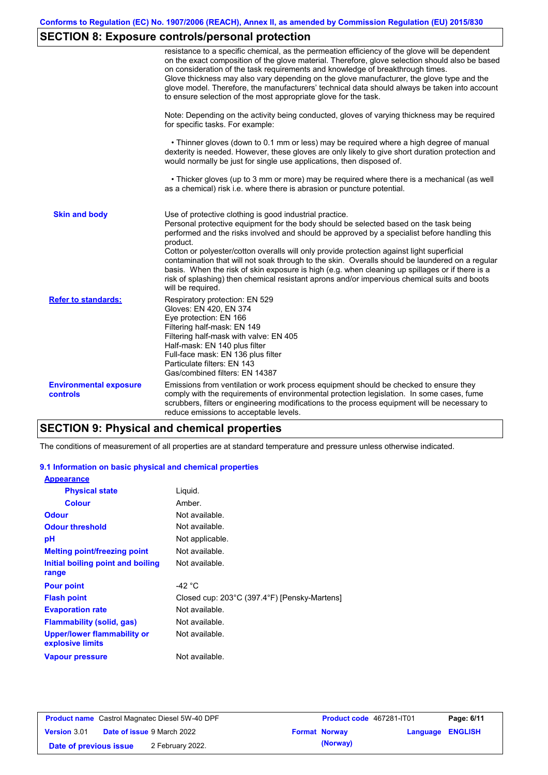# **SECTION 8: Exposure controls/personal protection**

|                                           | resistance to a specific chemical, as the permeation efficiency of the glove will be dependent<br>on the exact composition of the glove material. Therefore, glove selection should also be based<br>on consideration of the task requirements and knowledge of breakthrough times.<br>Glove thickness may also vary depending on the glove manufacturer, the glove type and the<br>glove model. Therefore, the manufacturers' technical data should always be taken into account<br>to ensure selection of the most appropriate glove for the task.                                                                                                                                  |
|-------------------------------------------|---------------------------------------------------------------------------------------------------------------------------------------------------------------------------------------------------------------------------------------------------------------------------------------------------------------------------------------------------------------------------------------------------------------------------------------------------------------------------------------------------------------------------------------------------------------------------------------------------------------------------------------------------------------------------------------|
|                                           | Note: Depending on the activity being conducted, gloves of varying thickness may be required<br>for specific tasks. For example:                                                                                                                                                                                                                                                                                                                                                                                                                                                                                                                                                      |
|                                           | • Thinner gloves (down to 0.1 mm or less) may be required where a high degree of manual<br>dexterity is needed. However, these gloves are only likely to give short duration protection and<br>would normally be just for single use applications, then disposed of.                                                                                                                                                                                                                                                                                                                                                                                                                  |
|                                           | • Thicker gloves (up to 3 mm or more) may be required where there is a mechanical (as well<br>as a chemical) risk i.e. where there is abrasion or puncture potential.                                                                                                                                                                                                                                                                                                                                                                                                                                                                                                                 |
| <b>Skin and body</b>                      | Use of protective clothing is good industrial practice.<br>Personal protective equipment for the body should be selected based on the task being<br>performed and the risks involved and should be approved by a specialist before handling this<br>product.<br>Cotton or polyester/cotton overalls will only provide protection against light superficial<br>contamination that will not soak through to the skin. Overalls should be laundered on a regular<br>basis. When the risk of skin exposure is high (e.g. when cleaning up spillages or if there is a<br>risk of splashing) then chemical resistant aprons and/or impervious chemical suits and boots<br>will be required. |
| <b>Refer to standards:</b>                | Respiratory protection: EN 529<br>Gloves: EN 420, EN 374<br>Eye protection: EN 166<br>Filtering half-mask: EN 149<br>Filtering half-mask with valve: EN 405<br>Half-mask: EN 140 plus filter<br>Full-face mask: EN 136 plus filter<br>Particulate filters: EN 143<br>Gas/combined filters: EN 14387                                                                                                                                                                                                                                                                                                                                                                                   |
| <b>Environmental exposure</b><br>controls | Emissions from ventilation or work process equipment should be checked to ensure they<br>comply with the requirements of environmental protection legislation. In some cases, fume<br>scrubbers, filters or engineering modifications to the process equipment will be necessary to<br>reduce emissions to acceptable levels.                                                                                                                                                                                                                                                                                                                                                         |

## **SECTION 9: Physical and chemical properties**

The conditions of measurement of all properties are at standard temperature and pressure unless otherwise indicated.

### **9.1 Information on basic physical and chemical properties**

| <b>Appearance</b>                               |                                              |
|-------------------------------------------------|----------------------------------------------|
| <b>Physical state</b>                           | Liguid.                                      |
| <b>Colour</b>                                   | Amber.                                       |
| <b>Odour</b>                                    | Not available.                               |
| <b>Odour threshold</b>                          | Not available.                               |
| рH                                              | Not applicable.                              |
| <b>Melting point/freezing point</b>             | Not available.                               |
| Initial boiling point and boiling               | Not available.                               |
| range                                           |                                              |
| <b>Pour point</b>                               | -42 $^{\circ}$ C                             |
| <b>Flash point</b>                              | Closed cup: 203°C (397.4°F) [Pensky-Martens] |
| <b>Evaporation rate</b>                         | Not available.                               |
| Flammability (solid, gas)                       | Not available.                               |
| Upper/lower flammability or<br>explosive limits | Not available.                               |
| <b>Vapour pressure</b>                          | Not available.                               |

|                        | <b>Product name</b> Castrol Magnatec Diesel 5W-40 DPF | <b>Product code</b> 467281-IT01 |                         | Page: 6/11 |
|------------------------|-------------------------------------------------------|---------------------------------|-------------------------|------------|
| <b>Version 3.01</b>    | <b>Date of issue 9 March 2022</b>                     | <b>Format Norway</b>            | <b>Language ENGLISH</b> |            |
| Date of previous issue | 2 February 2022.                                      | (Norway)                        |                         |            |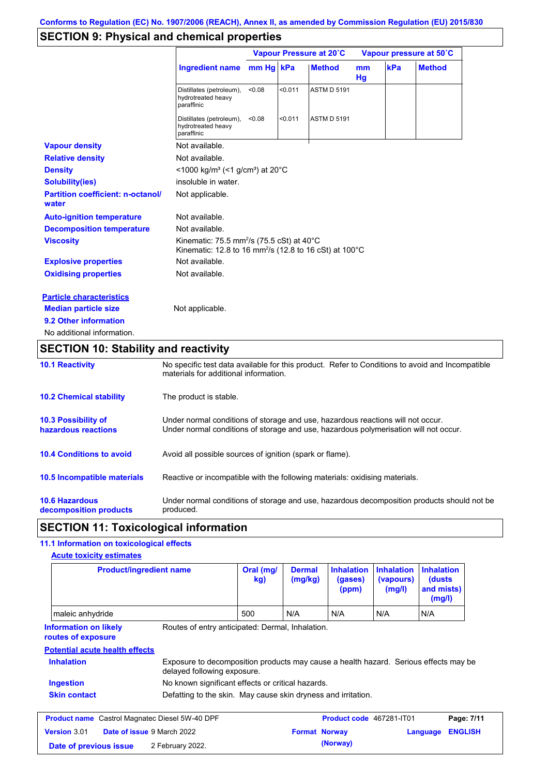# **SECTION 9: Physical and chemical properties**

|                                                   |                                                                                                                                        | Vapour Pressure at 20°C |         |                    | Vapour pressure at 50°C |     |               |
|---------------------------------------------------|----------------------------------------------------------------------------------------------------------------------------------------|-------------------------|---------|--------------------|-------------------------|-----|---------------|
|                                                   | <b>Ingredient name</b>                                                                                                                 | mm Hg kPa               |         | <b>Method</b>      | <sub>mm</sub><br>Hg     | kPa | <b>Method</b> |
|                                                   | Distillates (petroleum),<br>hydrotreated heavy<br>paraffinic                                                                           | < 0.08                  | < 0.011 | <b>ASTM D 5191</b> |                         |     |               |
|                                                   | Distillates (petroleum),<br>hydrotreated heavy<br>paraffinic                                                                           | < 0.08                  | < 0.011 | <b>ASTM D 5191</b> |                         |     |               |
| <b>Vapour density</b>                             | Not available.                                                                                                                         |                         |         |                    |                         |     |               |
| <b>Relative density</b>                           | Not available.                                                                                                                         |                         |         |                    |                         |     |               |
| <b>Density</b>                                    | <1000 kg/m <sup>3</sup> (<1 g/cm <sup>3</sup> ) at 20 <sup>°</sup> C                                                                   |                         |         |                    |                         |     |               |
| <b>Solubility(ies)</b>                            | insoluble in water.                                                                                                                    |                         |         |                    |                         |     |               |
| <b>Partition coefficient: n-octanol/</b><br>water | Not applicable.                                                                                                                        |                         |         |                    |                         |     |               |
| <b>Auto-ignition temperature</b>                  | Not available.                                                                                                                         |                         |         |                    |                         |     |               |
| <b>Decomposition temperature</b>                  | Not available.                                                                                                                         |                         |         |                    |                         |     |               |
| <b>Viscosity</b>                                  | Kinematic: 75.5 mm <sup>2</sup> /s (75.5 cSt) at 40 $^{\circ}$ C<br>Kinematic: 12.8 to 16 mm <sup>2</sup> /s (12.8 to 16 cSt) at 100°C |                         |         |                    |                         |     |               |
| <b>Explosive properties</b>                       | Not available.                                                                                                                         |                         |         |                    |                         |     |               |
| <b>Oxidising properties</b>                       | Not available.                                                                                                                         |                         |         |                    |                         |     |               |
| <b>Particle characteristics</b>                   |                                                                                                                                        |                         |         |                    |                         |     |               |
| <b>Median particle size</b>                       | Not applicable.                                                                                                                        |                         |         |                    |                         |     |               |
| 9.2 Other information                             |                                                                                                                                        |                         |         |                    |                         |     |               |
| No additional information.                        |                                                                                                                                        |                         |         |                    |                         |     |               |

## **SECTION 10: Stability and reactivity**

| <b>10.1 Reactivity</b>                            | No specific test data available for this product. Refer to Conditions to avoid and Incompatible<br>materials for additional information.                                |
|---------------------------------------------------|-------------------------------------------------------------------------------------------------------------------------------------------------------------------------|
| <b>10.2 Chemical stability</b>                    | The product is stable.                                                                                                                                                  |
| <b>10.3 Possibility of</b><br>hazardous reactions | Under normal conditions of storage and use, hazardous reactions will not occur.<br>Under normal conditions of storage and use, hazardous polymerisation will not occur. |
| <b>10.4 Conditions to avoid</b>                   | Avoid all possible sources of ignition (spark or flame).                                                                                                                |
| 10.5 Incompatible materials                       | Reactive or incompatible with the following materials: oxidising materials.                                                                                             |
| <b>10.6 Hazardous</b><br>decomposition products   | Under normal conditions of storage and use, hazardous decomposition products should not be<br>produced.                                                                 |

## **SECTION 11: Toxicological information**

### **11.1 Information on toxicological effects**

| <b>Acute toxicity estimates</b>                       |                                                                                                                     |                  |                          |                                       |                                          |                                                     |                |
|-------------------------------------------------------|---------------------------------------------------------------------------------------------------------------------|------------------|--------------------------|---------------------------------------|------------------------------------------|-----------------------------------------------------|----------------|
|                                                       | <b>Product/ingredient name</b>                                                                                      | Oral (mg/<br>kg) | <b>Dermal</b><br>(mg/kg) | <b>Inhalation</b><br>(gases)<br>(ppm) | <b>Inhalation</b><br>(vapours)<br>(mg/l) | <b>Inhalation</b><br>(dusts<br>and mists)<br>(mg/l) |                |
| maleic anhydride                                      |                                                                                                                     | 500              | N/A                      | N/A                                   | N/A                                      | N/A                                                 |                |
| <b>Information on likely</b><br>routes of exposure    | Routes of entry anticipated: Dermal, Inhalation.                                                                    |                  |                          |                                       |                                          |                                                     |                |
| <b>Potential acute health effects</b>                 |                                                                                                                     |                  |                          |                                       |                                          |                                                     |                |
| <b>Inhalation</b>                                     | Exposure to decomposition products may cause a health hazard. Serious effects may be<br>delayed following exposure. |                  |                          |                                       |                                          |                                                     |                |
| Ingestion                                             | No known significant effects or critical hazards.                                                                   |                  |                          |                                       |                                          |                                                     |                |
| <b>Skin contact</b>                                   | Defatting to the skin. May cause skin dryness and irritation.                                                       |                  |                          |                                       |                                          |                                                     |                |
| <b>Product name</b> Castrol Magnatec Diesel 5W-40 DPF |                                                                                                                     |                  |                          | Product code 467281-IT01              |                                          |                                                     | Page: 7/11     |
| Version 3.01                                          | Date of issue 9 March 2022                                                                                          |                  | <b>Format Norway</b>     |                                       |                                          | Language                                            | <b>ENGLISH</b> |
| Date of previous issue                                | 2 February 2022.                                                                                                    |                  |                          | (Norway)                              |                                          |                                                     |                |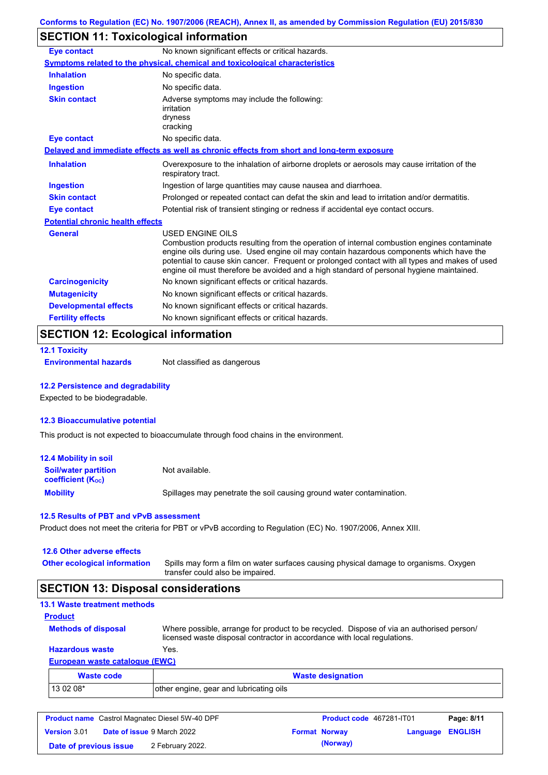# **SECTION 11: Toxicological information**

| <b>Eye contact</b>                      | No known significant effects or critical hazards.                                                                                                                                                                                                                                                                                                                                                               |  |  |  |  |
|-----------------------------------------|-----------------------------------------------------------------------------------------------------------------------------------------------------------------------------------------------------------------------------------------------------------------------------------------------------------------------------------------------------------------------------------------------------------------|--|--|--|--|
|                                         | <b>Symptoms related to the physical, chemical and toxicological characteristics</b>                                                                                                                                                                                                                                                                                                                             |  |  |  |  |
| <b>Inhalation</b>                       | No specific data.                                                                                                                                                                                                                                                                                                                                                                                               |  |  |  |  |
| <b>Ingestion</b>                        | No specific data.                                                                                                                                                                                                                                                                                                                                                                                               |  |  |  |  |
| <b>Skin contact</b>                     | Adverse symptoms may include the following:<br>irritation<br>dryness<br>cracking                                                                                                                                                                                                                                                                                                                                |  |  |  |  |
| <b>Eye contact</b>                      | No specific data.                                                                                                                                                                                                                                                                                                                                                                                               |  |  |  |  |
|                                         | Delayed and immediate effects as well as chronic effects from short and long-term exposure                                                                                                                                                                                                                                                                                                                      |  |  |  |  |
| <b>Inhalation</b>                       | Overexposure to the inhalation of airborne droplets or aerosols may cause irritation of the<br>respiratory tract.                                                                                                                                                                                                                                                                                               |  |  |  |  |
| <b>Ingestion</b>                        | Ingestion of large quantities may cause nausea and diarrhoea.                                                                                                                                                                                                                                                                                                                                                   |  |  |  |  |
| <b>Skin contact</b>                     | Prolonged or repeated contact can defat the skin and lead to irritation and/or dermatitis.                                                                                                                                                                                                                                                                                                                      |  |  |  |  |
| <b>Eye contact</b>                      | Potential risk of transient stinging or redness if accidental eye contact occurs.                                                                                                                                                                                                                                                                                                                               |  |  |  |  |
| <b>Potential chronic health effects</b> |                                                                                                                                                                                                                                                                                                                                                                                                                 |  |  |  |  |
| <b>General</b>                          | <b>USED ENGINE OILS</b><br>Combustion products resulting from the operation of internal combustion engines contaminate<br>engine oils during use. Used engine oil may contain hazardous components which have the<br>potential to cause skin cancer. Frequent or prolonged contact with all types and makes of used<br>engine oil must therefore be avoided and a high standard of personal hygiene maintained. |  |  |  |  |
| <b>Carcinogenicity</b>                  | No known significant effects or critical hazards.                                                                                                                                                                                                                                                                                                                                                               |  |  |  |  |
| <b>Mutagenicity</b>                     | No known significant effects or critical hazards.                                                                                                                                                                                                                                                                                                                                                               |  |  |  |  |
| <b>Developmental effects</b>            | No known significant effects or critical hazards.                                                                                                                                                                                                                                                                                                                                                               |  |  |  |  |
| <b>Fertility effects</b>                | No known significant effects or critical hazards.                                                                                                                                                                                                                                                                                                                                                               |  |  |  |  |

## **SECTION 12: Ecological information**

|  |  | <b>12.1 Toxicity</b> |  |  |
|--|--|----------------------|--|--|
|--|--|----------------------|--|--|

**Environmental hazards** Not classified as dangerous

#### **12.2 Persistence and degradability**

Expected to be biodegradable.

#### **12.3 Bioaccumulative potential**

This product is not expected to bioaccumulate through food chains in the environment.

| <b>12.4 Mobility in soil</b>                                         |                                                                      |
|----------------------------------------------------------------------|----------------------------------------------------------------------|
| <b>Soil/water partition</b><br><b>coefficient</b> (K <sub>oc</sub> ) | Not available.                                                       |
| <b>Mobility</b>                                                      | Spillages may penetrate the soil causing ground water contamination. |

#### **12.5 Results of PBT and vPvB assessment**

Product does not meet the criteria for PBT or vPvB according to Regulation (EC) No. 1907/2006, Annex XIII.

| 12.6 Other adverse effects          |                                                                                                                           |
|-------------------------------------|---------------------------------------------------------------------------------------------------------------------------|
| <b>Other ecological information</b> | Spills may form a film on water surfaces causing physical damage to organisms. Oxygen<br>transfer could also be impaired. |

# **SECTION 13: Disposal considerations**

| <b>13.1 Waste treatment methods</b> |                                                                                                                                                                      |
|-------------------------------------|----------------------------------------------------------------------------------------------------------------------------------------------------------------------|
| <b>Product</b>                      |                                                                                                                                                                      |
| <b>Methods of disposal</b>          | Where possible, arrange for product to be recycled. Dispose of via an authorised person/<br>licensed waste disposal contractor in accordance with local regulations. |
| <b>Hazardous waste</b>              | Yes.                                                                                                                                                                 |
| European waste catalogue (EWC)      |                                                                                                                                                                      |
| <b>Waste code</b>                   | <b>Waste designation</b>                                                                                                                                             |

| Waste code | <b>Waste designation</b>                |
|------------|-----------------------------------------|
| 13 02 08*  | other engine, gear and lubricating oils |

| <b>Product name</b> Castrol Magnatec Diesel 5W-40 DPF |  | Product code 467281-IT01          |                      | Page: 8/11       |  |
|-------------------------------------------------------|--|-----------------------------------|----------------------|------------------|--|
| <b>Version 3.01</b>                                   |  | <b>Date of issue 9 March 2022</b> | <b>Format Norway</b> | Language ENGLISH |  |
| Date of previous issue                                |  | 2 February 2022.                  | (Norway)             |                  |  |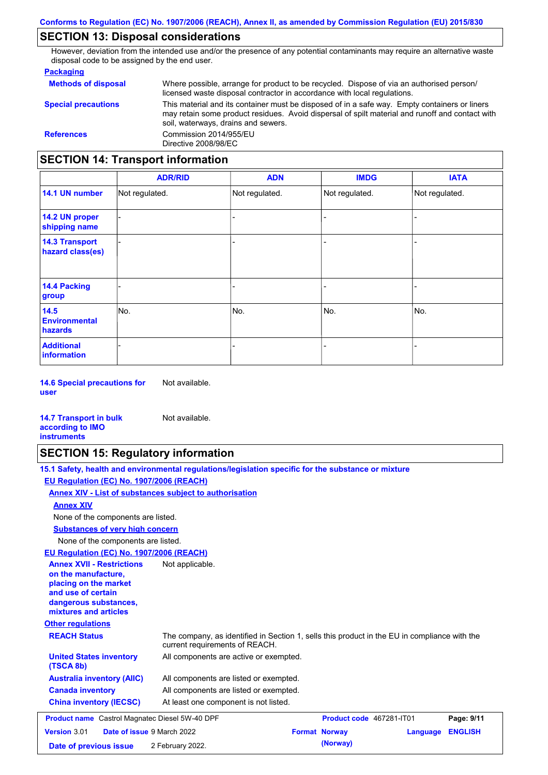## **SECTION 13: Disposal considerations**

However, deviation from the intended use and/or the presence of any potential contaminants may require an alternative waste disposal code to be assigned by the end user.

### **Packaging**

| <b>Methods of disposal</b>        | Where possible, arrange for product to be recycled. Dispose of via an authorised person/<br>licensed waste disposal contractor in accordance with local regulations.                                                                    |
|-----------------------------------|-----------------------------------------------------------------------------------------------------------------------------------------------------------------------------------------------------------------------------------------|
| <b>Special precautions</b>        | This material and its container must be disposed of in a safe way. Empty containers or liners<br>may retain some product residues. Avoid dispersal of spilt material and runoff and contact with<br>soil, waterways, drains and sewers. |
| <b>References</b>                 | Commission 2014/955/EU<br>Directive 2008/98/EC                                                                                                                                                                                          |
| SECTION 14: Transnort information |                                                                                                                                                                                                                                         |

## **SECTION 14: Transport information**

|                                           | <b>ADR/RID</b> | <b>ADN</b>     | <b>IMDG</b>    | <b>IATA</b>    |
|-------------------------------------------|----------------|----------------|----------------|----------------|
| 14.1 UN number                            | Not regulated. | Not regulated. | Not regulated. | Not regulated. |
| 14.2 UN proper<br>shipping name           |                |                |                |                |
| <b>14.3 Transport</b><br>hazard class(es) |                |                | -              |                |
| 14.4 Packing<br>group                     |                |                | $\blacksquare$ |                |
| 14.5<br><b>Environmental</b><br>hazards   | No.            | No.            | No.            | No.            |
| <b>Additional</b><br>information          |                |                | -              |                |

**14.6 Special precautions for user** Not available.

#### **14.7 Transport in bulk according to IMO instruments**

### **SECTION 15: Regulatory information**

| 15.1 Safety, health and environmental regulations/legislation specific for the substance or mixture |  |
|-----------------------------------------------------------------------------------------------------|--|
| EU Regulation (EC) No. 1907/2006 (REACH)                                                            |  |

#### **Annex XIV - List of substances subject to authorisation**

Not available.

### **Annex XIV**

None of the components are listed.

**Substances of very high concern**

None of the components are listed.

#### **EU Regulation (EC) No. 1907/2006 (REACH)**

| EU Regulation (EC) No. 1907/2006 (REACH)                                                                                                                 |                                                                                                                                |
|----------------------------------------------------------------------------------------------------------------------------------------------------------|--------------------------------------------------------------------------------------------------------------------------------|
| <b>Annex XVII - Restrictions</b><br>on the manufacture,<br>placing on the market<br>and use of certain<br>dangerous substances,<br>mixtures and articles | Not applicable.                                                                                                                |
| <b>Other regulations</b>                                                                                                                                 |                                                                                                                                |
| <b>REACH Status</b>                                                                                                                                      | The company, as identified in Section 1, sells this product in the EU in compliance with the<br>current requirements of REACH. |
| <b>United States inventory</b><br>(TSCA 8b)                                                                                                              | All components are active or exempted.                                                                                         |
| <b>Australia inventory (AIIC)</b>                                                                                                                        | All components are listed or exempted.                                                                                         |
| <b>Canada inventory</b>                                                                                                                                  | All components are listed or exempted.                                                                                         |
| <b>China inventory (IECSC)</b>                                                                                                                           | At least one component is not listed.                                                                                          |
| <b>Product name</b> Castrol Magnatec Diesel 5W-40 DPF                                                                                                    | <b>Product code</b> 467281-IT01<br>Page: 9/11                                                                                  |
| <b>Version 3.01</b>                                                                                                                                      | <b>Date of issue 9 March 2022</b><br><b>ENGLISH</b><br><b>Format Norway</b><br>Language                                        |
| Date of previous issue                                                                                                                                   | (Norway)<br>2 February 2022.                                                                                                   |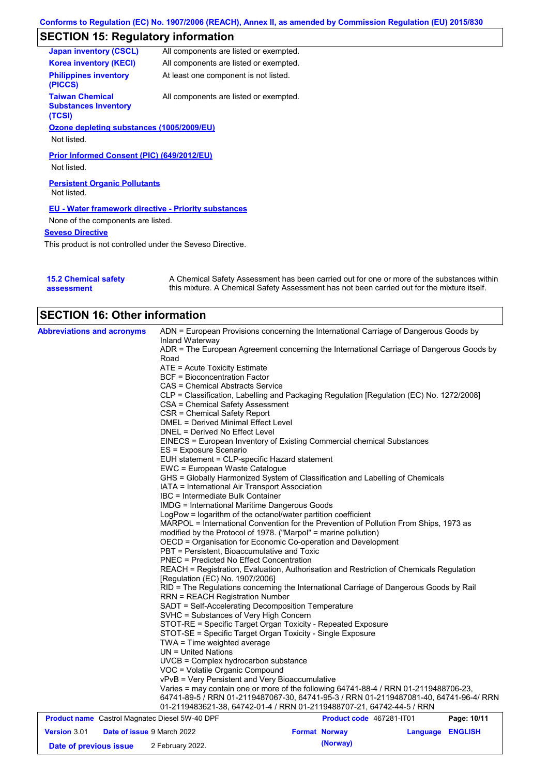# **SECTION 15: Regulatory information**

| <b>Japan inventory (CSCL)</b>                                   | All components are listed or exempted.                      |
|-----------------------------------------------------------------|-------------------------------------------------------------|
| <b>Korea inventory (KECI)</b>                                   | All components are listed or exempted.                      |
| <b>Philippines inventory</b><br>(PICCS)                         | At least one component is not listed.                       |
| <b>Taiwan Chemical</b><br><b>Substances Inventory</b><br>(TCSI) | All components are listed or exempted.                      |
| Ozone depleting substances (1005/2009/EU)                       |                                                             |
| Not listed.                                                     |                                                             |
| Prior Informed Consent (PIC) (649/2012/EU)                      |                                                             |
| Not listed.                                                     |                                                             |
| <b>Persistent Organic Pollutants</b><br>Not listed.             |                                                             |
|                                                                 | <b>EU - Water framework directive - Priority substances</b> |
| None of the components are listed.                              |                                                             |
| <b>Seveso Directive</b>                                         |                                                             |
| This product is not controlled under the Seveso Directive.      |                                                             |

| <b>15.2 Chemical safety</b> | A Chemical Safety Assessment has been carried out for one or more of the substances within  |
|-----------------------------|---------------------------------------------------------------------------------------------|
| assessment                  | this mixture. A Chemical Safety Assessment has not been carried out for the mixture itself. |

| <b>SECTION 16: Other information</b>                  |                                                                                                                                                                                                                                                                                                                                                                                                                                                                                                                                                                                                                                                                                                                                                                                                                                                                                                                                                                                                                                                                                                                                                                                                                                                                                                                                                                                                                                                                                                                                                                                                                                                                                                                                                                                                                                                                                                                                                                                                                                                                                            |                          |          |                |
|-------------------------------------------------------|--------------------------------------------------------------------------------------------------------------------------------------------------------------------------------------------------------------------------------------------------------------------------------------------------------------------------------------------------------------------------------------------------------------------------------------------------------------------------------------------------------------------------------------------------------------------------------------------------------------------------------------------------------------------------------------------------------------------------------------------------------------------------------------------------------------------------------------------------------------------------------------------------------------------------------------------------------------------------------------------------------------------------------------------------------------------------------------------------------------------------------------------------------------------------------------------------------------------------------------------------------------------------------------------------------------------------------------------------------------------------------------------------------------------------------------------------------------------------------------------------------------------------------------------------------------------------------------------------------------------------------------------------------------------------------------------------------------------------------------------------------------------------------------------------------------------------------------------------------------------------------------------------------------------------------------------------------------------------------------------------------------------------------------------------------------------------------------------|--------------------------|----------|----------------|
| <b>Abbreviations and acronyms</b>                     | ADN = European Provisions concerning the International Carriage of Dangerous Goods by<br>Inland Waterway<br>ADR = The European Agreement concerning the International Carriage of Dangerous Goods by<br>Road<br>$ATE = Acute Toxicity Estimate$<br><b>BCF</b> = Bioconcentration Factor<br>CAS = Chemical Abstracts Service<br>CLP = Classification, Labelling and Packaging Regulation [Regulation (EC) No. 1272/2008]<br><b>CSA = Chemical Safety Assessment</b><br><b>CSR = Chemical Safety Report</b><br>DMEL = Derived Minimal Effect Level<br>DNEL = Derived No Effect Level<br>EINECS = European Inventory of Existing Commercial chemical Substances<br>ES = Exposure Scenario<br>EUH statement = CLP-specific Hazard statement<br>EWC = European Waste Catalogue<br>GHS = Globally Harmonized System of Classification and Labelling of Chemicals<br>IATA = International Air Transport Association<br>IBC = Intermediate Bulk Container<br><b>IMDG</b> = International Maritime Dangerous Goods<br>LogPow = logarithm of the octanol/water partition coefficient<br>MARPOL = International Convention for the Prevention of Pollution From Ships, 1973 as<br>modified by the Protocol of 1978. ("Marpol" = marine pollution)<br>OECD = Organisation for Economic Co-operation and Development<br>PBT = Persistent, Bioaccumulative and Toxic<br>PNEC = Predicted No Effect Concentration<br>REACH = Registration, Evaluation, Authorisation and Restriction of Chemicals Regulation<br>[Regulation (EC) No. 1907/2006]<br>RID = The Regulations concerning the International Carriage of Dangerous Goods by Rail<br><b>RRN = REACH Registration Number</b><br>SADT = Self-Accelerating Decomposition Temperature<br>SVHC = Substances of Very High Concern<br>STOT-RE = Specific Target Organ Toxicity - Repeated Exposure<br>STOT-SE = Specific Target Organ Toxicity - Single Exposure<br>$TWA = Time$ weighted average<br>$UN = United Nations$<br>UVCB = Complex hydrocarbon substance<br>VOC = Volatile Organic Compound<br>vPvB = Very Persistent and Very Bioaccumulative |                          |          |                |
|                                                       | Varies = may contain one or more of the following 64741-88-4 / RRN 01-2119488706-23,<br>64741-89-5 / RRN 01-2119487067-30, 64741-95-3 / RRN 01-2119487081-40, 64741-96-4/ RRN<br>01-2119483621-38, 64742-01-4 / RRN 01-2119488707-21, 64742-44-5 / RRN                                                                                                                                                                                                                                                                                                                                                                                                                                                                                                                                                                                                                                                                                                                                                                                                                                                                                                                                                                                                                                                                                                                                                                                                                                                                                                                                                                                                                                                                                                                                                                                                                                                                                                                                                                                                                                     |                          |          |                |
| <b>Product name</b> Castrol Magnatec Diesel 5W-40 DPF |                                                                                                                                                                                                                                                                                                                                                                                                                                                                                                                                                                                                                                                                                                                                                                                                                                                                                                                                                                                                                                                                                                                                                                                                                                                                                                                                                                                                                                                                                                                                                                                                                                                                                                                                                                                                                                                                                                                                                                                                                                                                                            | Product code 467281-IT01 |          | Page: 10/11    |
| <b>Version 3.01</b><br>Date of issue 9 March 2022     |                                                                                                                                                                                                                                                                                                                                                                                                                                                                                                                                                                                                                                                                                                                                                                                                                                                                                                                                                                                                                                                                                                                                                                                                                                                                                                                                                                                                                                                                                                                                                                                                                                                                                                                                                                                                                                                                                                                                                                                                                                                                                            | <b>Format Norway</b>     | Language | <b>ENGLISH</b> |
| Date of previous issue                                | 2 February 2022.                                                                                                                                                                                                                                                                                                                                                                                                                                                                                                                                                                                                                                                                                                                                                                                                                                                                                                                                                                                                                                                                                                                                                                                                                                                                                                                                                                                                                                                                                                                                                                                                                                                                                                                                                                                                                                                                                                                                                                                                                                                                           | (Norway)                 |          |                |